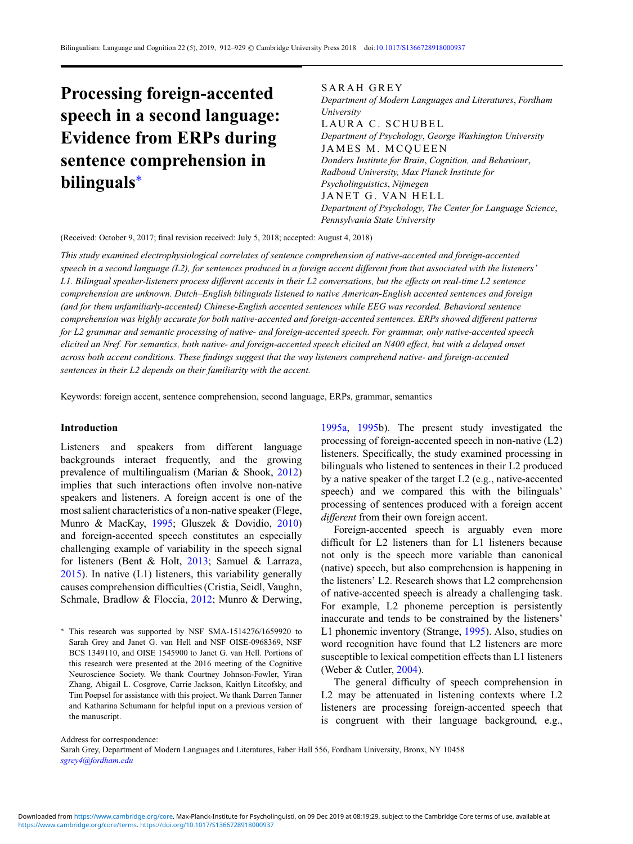# **Processing foreign-accented speech in a second language: Evidence from ERPs during sentence comprehension in bilinguals**<sup>∗</sup>

#### SARAH GREY

*Department of Modern Languages and Literatures*, *Fordham University* LAURA C. SCHUBEL *Department of Psychology*, *George Washington University* JAMES M. MCQUEEN *Donders Institute for Brain*, *Cognition, and Behaviour*, *Radboud University, Max Planck Institute for Psycholinguistics*, *Nijmegen* JANET G. VAN HELL *Department of Psychology, The Center for Language Science*, *Pennsylvania State University*

(Received: October 9, 2017; final revision received: July 5, 2018; accepted: August 4, 2018)

*This study examined electrophysiological correlates of sentence comprehension of native-accented and foreign-accented speech in a second language (L2), for sentences produced in a foreign accent different from that associated with the listeners' L1. Bilingual speaker-listeners process different accents in their L2 conversations, but the effects on real-time L2 sentence comprehension are unknown. Dutch–English bilinguals listened to native American-English accented sentences and foreign (and for them unfamiliarly-accented) Chinese-English accented sentences while EEG was recorded. Behavioral sentence comprehension was highly accurate for both native-accented and foreign-accented sentences. ERPs showed different patterns for L2 grammar and semantic processing of native- and foreign-accented speech. For grammar, only native-accented speech elicited an Nref. For semantics, both native- and foreign-accented speech elicited an N400 effect, but with a delayed onset across both accent conditions. These findings suggest that the way listeners comprehend native- and foreign-accented sentences in their L2 depends on their familiarity with the accent.*

Keywords: foreign accent, sentence comprehension, second language, ERPs, grammar, semantics

#### **Introduction**

Listeners and speakers from different language backgrounds interact frequently, and the growing prevalence of multilingualism (Marian & Shook, 2012) implies that such interactions often involve non-native speakers and listeners. A foreign accent is one of the most salient characteristics of a non-native speaker (Flege, Munro & MacKay, 1995; Gluszek & Dovidio, 2010) and foreign-accented speech constitutes an especially challenging example of variability in the speech signal for listeners (Bent & Holt, 2013; Samuel & Larraza, 2015). In native (L1) listeners, this variability generally causes comprehension difficulties (Cristia, Seidl, Vaughn, Schmale, Bradlow & Floccia, 2012; Munro & Derwing, 1995a, 1995b). The present study investigated the processing of foreign-accented speech in non-native (L2) listeners. Specifically, the study examined processing in bilinguals who listened to sentences in their L2 produced by a native speaker of the target L2 (e.g., native-accented speech) and we compared this with the bilinguals' processing of sentences produced with a foreign accent *different* from their own foreign accent.

Foreign-accented speech is arguably even more difficult for L2 listeners than for L1 listeners because not only is the speech more variable than canonical (native) speech, but also comprehension is happening in the listeners' L2. Research shows that L2 comprehension of native-accented speech is already a challenging task. For example, L2 phoneme perception is persistently inaccurate and tends to be constrained by the listeners' L1 phonemic inventory (Strange, 1995). Also, studies on word recognition have found that L2 listeners are more susceptible to lexical competition effects than L1 listeners (Weber & Cutler, 2004).

The general difficulty of speech comprehension in L2 may be attenuated in listening contexts where L2 listeners are processing foreign-accented speech that is congruent with their language background, e.g.,

Address for correspondence:

Sarah Grey, Department of Modern Languages and Literatures, Faber Hall 556, Fordham University, Bronx, NY 10458 *[sgrey4@fordham.edu](mailto:sgrey4@fordham.edu)*

<sup>∗</sup> This research was supported by NSF SMA-1514276/1659920 to Sarah Grey and Janet G. van Hell and NSF OISE-0968369, NSF BCS 1349110, and OISE 1545900 to Janet G. van Hell. Portions of this research were presented at the 2016 meeting of the Cognitive Neuroscience Society. We thank Courtney Johnson-Fowler, Yiran Zhang, Abigail L. Cosgrove, Carrie Jackson, Kaitlyn Litcofsky, and Tim Poepsel for assistance with this project. We thank Darren Tanner and Katharina Schumann for helpful input on a previous version of the manuscript.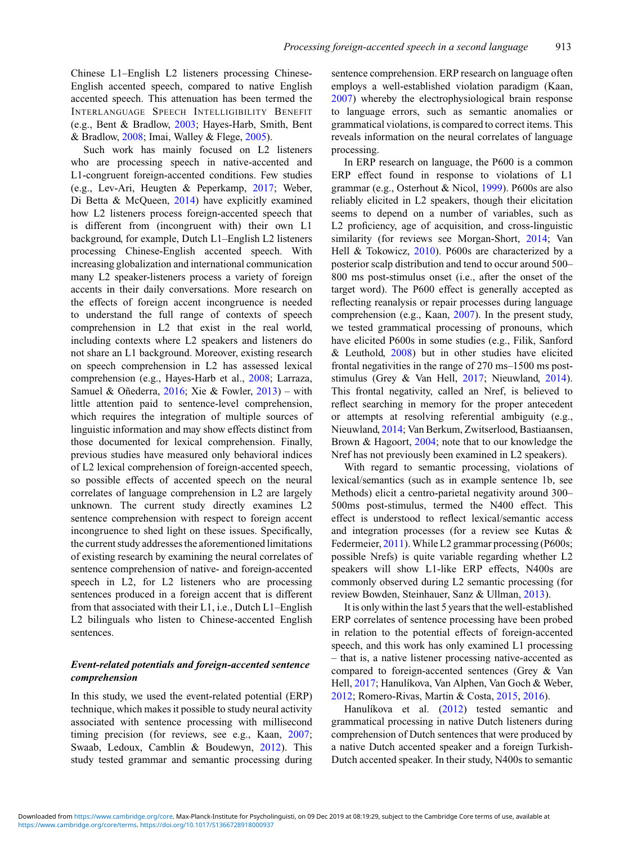Chinese L1–English L2 listeners processing Chinese-English accented speech, compared to native English accented speech. This attenuation has been termed the INTERLANGUAGE SPEECH INTELLIGIBILITY BENEFIT (e.g., Bent & Bradlow, 2003; Hayes-Harb, Smith, Bent & Bradlow, 2008; Imai, Walley & Flege, 2005).

Such work has mainly focused on L2 listeners who are processing speech in native-accented and L1-congruent foreign-accented conditions. Few studies (e.g., Lev-Ari, Heugten & Peperkamp, 2017; Weber, Di Betta & McQueen, 2014) have explicitly examined how L2 listeners process foreign-accented speech that is different from (incongruent with) their own L1 background, for example, Dutch L1–English L2 listeners processing Chinese-English accented speech. With increasing globalization and international communication many L2 speaker-listeners process a variety of foreign accents in their daily conversations. More research on the effects of foreign accent incongruence is needed to understand the full range of contexts of speech comprehension in L2 that exist in the real world, including contexts where L2 speakers and listeners do not share an L1 background. Moreover, existing research on speech comprehension in L2 has assessed lexical comprehension (e.g., Hayes-Harb et al., 2008; Larraza, Samuel & Oñederra, 2016; Xie & Fowler,  $2013$ ) – with little attention paid to sentence-level comprehension, which requires the integration of multiple sources of linguistic information and may show effects distinct from those documented for lexical comprehension. Finally, previous studies have measured only behavioral indices of L2 lexical comprehension of foreign-accented speech, so possible effects of accented speech on the neural correlates of language comprehension in L2 are largely unknown. The current study directly examines L2 sentence comprehension with respect to foreign accent incongruence to shed light on these issues. Specifically, the current study addresses the aforementioned limitations of existing research by examining the neural correlates of sentence comprehension of native- and foreign-accented speech in L2, for L2 listeners who are processing sentences produced in a foreign accent that is different from that associated with their L1, i.e., Dutch L1–English L2 bilinguals who listen to Chinese-accented English sentences.

# *Event-related potentials and foreign-accented sentence comprehension*

In this study, we used the event-related potential (ERP) technique, which makes it possible to study neural activity associated with sentence processing with millisecond timing precision (for reviews, see e.g., Kaan, 2007; Swaab, Ledoux, Camblin & Boudewyn, 2012). This study tested grammar and semantic processing during sentence comprehension. ERP research on language often employs a well-established violation paradigm (Kaan, 2007) whereby the electrophysiological brain response to language errors, such as semantic anomalies or grammatical violations, is compared to correct items. This reveals information on the neural correlates of language processing.

In ERP research on language, the P600 is a common ERP effect found in response to violations of L1 grammar (e.g., Osterhout & Nicol, 1999). P600s are also reliably elicited in L2 speakers, though their elicitation seems to depend on a number of variables, such as L2 proficiency, age of acquisition, and cross-linguistic similarity (for reviews see Morgan-Short, 2014; Van Hell & Tokowicz, 2010). P600s are characterized by a posterior scalp distribution and tend to occur around 500– 800 ms post-stimulus onset (i.e., after the onset of the target word). The P600 effect is generally accepted as reflecting reanalysis or repair processes during language comprehension (e.g., Kaan, 2007). In the present study, we tested grammatical processing of pronouns, which have elicited P600s in some studies (e.g., Filik, Sanford & Leuthold, 2008) but in other studies have elicited frontal negativities in the range of 270 ms–1500 ms poststimulus (Grey & Van Hell, 2017; Nieuwland, 2014). This frontal negativity, called an Nref, is believed to reflect searching in memory for the proper antecedent or attempts at resolving referential ambiguity (e.g., Nieuwland, 2014; Van Berkum, Zwitserlood, Bastiaansen, Brown & Hagoort, 2004; note that to our knowledge the Nref has not previously been examined in L2 speakers).

With regard to semantic processing, violations of lexical/semantics (such as in example sentence 1b, see Methods) elicit a centro-parietal negativity around 300– 500ms post-stimulus, termed the N400 effect. This effect is understood to reflect lexical/semantic access and integration processes (for a review see Kutas & Federmeier, 2011). While L2 grammar processing (P600s; possible Nrefs) is quite variable regarding whether L2 speakers will show L1-like ERP effects, N400s are commonly observed during L2 semantic processing (for review Bowden, Steinhauer, Sanz & Ullman, 2013).

It is only within the last 5 years that the well-established ERP correlates of sentence processing have been probed in relation to the potential effects of foreign-accented speech, and this work has only examined L1 processing – that is, a native listener processing native-accented as compared to foreign-accented sentences (Grey & Van Hell, 2017; Hanulíkova, Van Alphen, Van Goch & Weber, 2012; Romero-Rivas, Martin & Costa, 2015, 2016).

Hanulíkova et al. (2012) tested semantic and grammatical processing in native Dutch listeners during comprehension of Dutch sentences that were produced by a native Dutch accented speaker and a foreign Turkish-Dutch accented speaker. In their study, N400s to semantic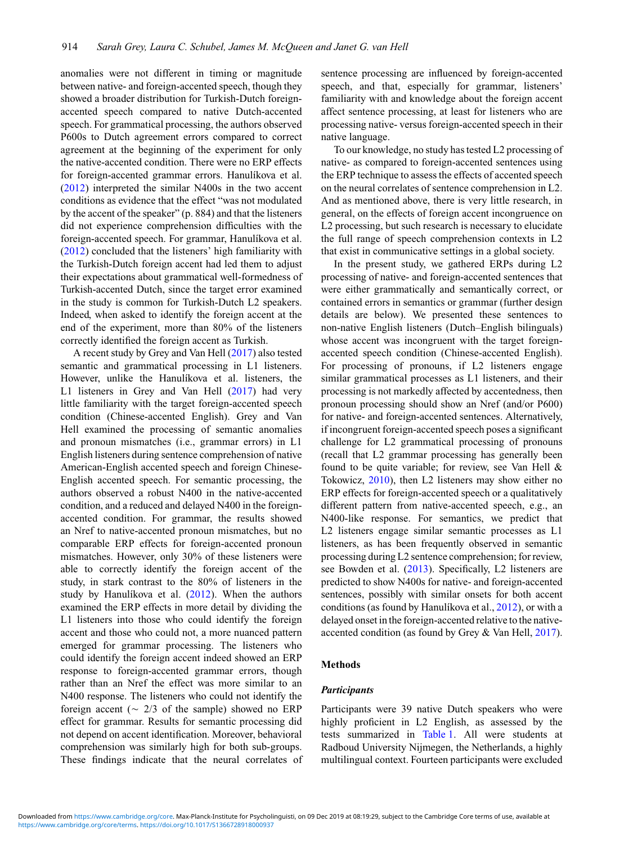anomalies were not different in timing or magnitude between native- and foreign-accented speech, though they showed a broader distribution for Turkish-Dutch foreignaccented speech compared to native Dutch-accented speech. For grammatical processing, the authors observed P600s to Dutch agreement errors compared to correct agreement at the beginning of the experiment for only the native-accented condition. There were no ERP effects for foreign-accented grammar errors. Hanulíkova et al. (2012) interpreted the similar N400s in the two accent conditions as evidence that the effect "was not modulated by the accent of the speaker" (p. 884) and that the listeners did not experience comprehension difficulties with the foreign-accented speech. For grammar, Hanulíkova et al. (2012) concluded that the listeners' high familiarity with the Turkish-Dutch foreign accent had led them to adjust their expectations about grammatical well-formedness of Turkish-accented Dutch, since the target error examined in the study is common for Turkish-Dutch L2 speakers. Indeed, when asked to identify the foreign accent at the end of the experiment, more than 80% of the listeners correctly identified the foreign accent as Turkish.

A recent study by Grey and Van Hell (2017) also tested semantic and grammatical processing in L1 listeners. However, unlike the Hanulíkova et al. listeners, the L1 listeners in Grey and Van Hell (2017) had very little familiarity with the target foreign-accented speech condition (Chinese-accented English). Grey and Van Hell examined the processing of semantic anomalies and pronoun mismatches (i.e., grammar errors) in L1 English listeners during sentence comprehension of native American-English accented speech and foreign Chinese-English accented speech. For semantic processing, the authors observed a robust N400 in the native-accented condition, and a reduced and delayed N400 in the foreignaccented condition. For grammar, the results showed an Nref to native-accented pronoun mismatches, but no comparable ERP effects for foreign-accented pronoun mismatches. However, only 30% of these listeners were able to correctly identify the foreign accent of the study, in stark contrast to the 80% of listeners in the study by Hanulíkova et al. (2012). When the authors examined the ERP effects in more detail by dividing the L1 listeners into those who could identify the foreign accent and those who could not, a more nuanced pattern emerged for grammar processing. The listeners who could identify the foreign accent indeed showed an ERP response to foreign-accented grammar errors, though rather than an Nref the effect was more similar to an N400 response. The listeners who could not identify the foreign accent ( $\sim$  2/3 of the sample) showed no ERP effect for grammar. Results for semantic processing did not depend on accent identification. Moreover, behavioral comprehension was similarly high for both sub-groups. These findings indicate that the neural correlates of sentence processing are influenced by foreign-accented speech, and that, especially for grammar, listeners' familiarity with and knowledge about the foreign accent affect sentence processing, at least for listeners who are processing native- versus foreign-accented speech in their native language.

To our knowledge, no study has tested L2 processing of native- as compared to foreign-accented sentences using the ERP technique to assess the effects of accented speech on the neural correlates of sentence comprehension in L2. And as mentioned above, there is very little research, in general, on the effects of foreign accent incongruence on L2 processing, but such research is necessary to elucidate the full range of speech comprehension contexts in L2 that exist in communicative settings in a global society.

In the present study, we gathered ERPs during L2 processing of native- and foreign-accented sentences that were either grammatically and semantically correct, or contained errors in semantics or grammar (further design details are below). We presented these sentences to non-native English listeners (Dutch–English bilinguals) whose accent was incongruent with the target foreignaccented speech condition (Chinese-accented English). For processing of pronouns, if L2 listeners engage similar grammatical processes as L1 listeners, and their processing is not markedly affected by accentedness, then pronoun processing should show an Nref (and/or P600) for native- and foreign-accented sentences. Alternatively, if incongruent foreign-accented speech poses a significant challenge for L2 grammatical processing of pronouns (recall that L2 grammar processing has generally been found to be quite variable; for review, see Van Hell & Tokowicz, 2010), then L2 listeners may show either no ERP effects for foreign-accented speech or a qualitatively different pattern from native-accented speech, e.g., an N400-like response. For semantics, we predict that L2 listeners engage similar semantic processes as L1 listeners, as has been frequently observed in semantic processing during L2 sentence comprehension; for review, see Bowden et al. (2013). Specifically, L2 listeners are predicted to show N400s for native- and foreign-accented sentences, possibly with similar onsets for both accent conditions (as found by Hanulíkova et al., 2012), or with a delayed onset in the foreign-accented relative to the nativeaccented condition (as found by Grey & Van Hell, 2017).

# **Methods**

#### *Participants*

Participants were 39 native Dutch speakers who were highly proficient in L2 English, as assessed by the tests summarized in Table 1. All were students at Radboud University Nijmegen, the Netherlands, a highly multilingual context. Fourteen participants were excluded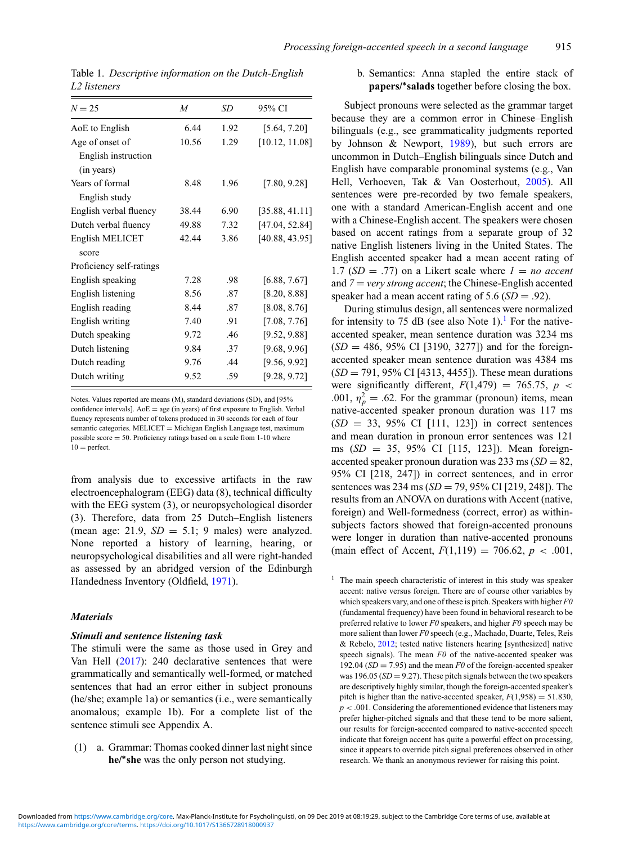| $N = 25$                 | $\boldsymbol{M}$ | SD   | 95% CI         |
|--------------------------|------------------|------|----------------|
| AoE to English           | 6.44             | 1.92 | [5.64, 7.20]   |
| Age of onset of          | 10.56            | 1.29 | [10.12, 11.08] |
| English instruction      |                  |      |                |
| (in years)               |                  |      |                |
| Years of formal          | 8.48             | 1.96 | [7.80, 9.28]   |
| English study            |                  |      |                |
| English verbal fluency   | 38.44            | 6.90 | [35.88, 41.11] |
| Dutch verbal fluency     | 49.88            | 7.32 | [47.04, 52.84] |
| English MELICET          | 42.44            | 3.86 | [40.88, 43.95] |
| score                    |                  |      |                |
| Proficiency self-ratings |                  |      |                |
| English speaking         | 7.28             | .98  | [6.88, 7.67]   |
| English listening        | 8.56             | .87  | [8.20, 8.88]   |
| English reading          | 8.44             | .87  | [8.08, 8.76]   |
| English writing          | 7.40             | .91  | [7.08, 7.76]   |
| Dutch speaking           | 9.72             | .46  | [9.52, 9.88]   |
| Dutch listening          | 9.84             | .37  | [9.68, 9.96]   |
| Dutch reading            | 9.76             | .44  | [9.56, 9.92]   |
| Dutch writing            | 9.52             | .59  | [9.28, 9.72]   |
|                          |                  |      |                |

Table 1. *Descriptive information on the Dutch-English L2 listeners*

Notes. Values reported are means (M), standard deviations (SD), and [95% confidence intervals].  $AoE = age$  (in years) of first exposure to English. Verbal fluency represents number of tokens produced in 30 seconds for each of four semantic categories. MELICET = Michigan English Language test, maximum possible score = 50. Proficiency ratings based on a scale from 1-10 where  $10 =$  perfect.

from analysis due to excessive artifacts in the raw electroencephalogram (EEG) data (8), technical difficulty with the EEG system (3), or neuropsychological disorder (3). Therefore, data from 25 Dutch–English listeners (mean age: 21.9,  $SD = 5.1$ ; 9 males) were analyzed. None reported a history of learning, hearing, or neuropsychological disabilities and all were right-handed as assessed by an abridged version of the Edinburgh Handedness Inventory (Oldfield, 1971).

# *Materials*

# *Stimuli and sentence listening task*

The stimuli were the same as those used in Grey and Van Hell (2017): 240 declarative sentences that were grammatically and semantically well-formed, or matched sentences that had an error either in subject pronouns (he/she; example 1a) or semantics (i.e., were semantically anomalous; example 1b). For a complete list of the sentence stimuli see Appendix A.

(1) a. Grammar: Thomas cooked dinner last night since **he/∗she** was the only person not studying.

# b. Semantics: Anna stapled the entire stack of **papers/∗salads** together before closing the box.

Subject pronouns were selected as the grammar target because they are a common error in Chinese–English bilinguals (e.g., see grammaticality judgments reported by Johnson & Newport, 1989), but such errors are uncommon in Dutch–English bilinguals since Dutch and English have comparable pronominal systems (e.g., Van Hell, Verhoeven, Tak & Van Oosterhout, 2005). All sentences were pre-recorded by two female speakers, one with a standard American-English accent and one with a Chinese-English accent. The speakers were chosen based on accent ratings from a separate group of 32 native English listeners living in the United States. The English accented speaker had a mean accent rating of 1.7 ( $SD = .77$ ) on a Likert scale where  $I = no$  accent and *7* = *very strong accent*; the Chinese-English accented speaker had a mean accent rating of  $5.6$  (*SD* = .92).

During stimulus design, all sentences were normalized for intensity to 75 dB (see also Note 1).<sup>1</sup> For the nativeaccented speaker, mean sentence duration was 3234 ms  $(SD = 486, 95\% \text{ CI}$  [3190, 3277]) and for the foreignaccented speaker mean sentence duration was 4384 ms (*SD* = 791, 95% CI [4313, 4455]). These mean durations were significantly different,  $F(1,479) = 765.75$ ,  $p \le$ .001,  $\eta_p^2 = .62$ . For the grammar (pronoun) items, mean native-accented speaker pronoun duration was 117 ms (*SD* = 33, 95% CI [111, 123]) in correct sentences and mean duration in pronoun error sentences was 121 ms (*SD* = 35, 95% CI [115, 123]). Mean foreignaccented speaker pronoun duration was  $233 \text{ ms}$  (*SD* = 82, 95% CI [218, 247]) in correct sentences, and in error sentences was 234 ms (*SD* = 79, 95% CI [219, 248]). The results from an ANOVA on durations with Accent (native, foreign) and Well-formedness (correct, error) as withinsubjects factors showed that foreign-accented pronouns were longer in duration than native-accented pronouns (main effect of Accent,  $F(1,119) = 706.62$ ,  $p < .001$ ,

<sup>&</sup>lt;sup>1</sup> The main speech characteristic of interest in this study was speaker accent: native versus foreign. There are of course other variables by which speakers vary, and one of these is pitch. Speakers with higher *F0* (fundamental frequency) have been found in behavioral research to be preferred relative to lower *F0* speakers, and higher *F0* speech may be more salient than lower *F0* speech (e.g., Machado, Duarte, Teles, Reis & Rebelo, 2012; tested native listeners hearing [synthesized] native speech signals). The mean *F0* of the native-accented speaker was 192.04 ( $SD = 7.95$ ) and the mean *F0* of the foreign-accented speaker was 196.05 ( $SD = 9.27$ ). These pitch signals between the two speakers are descriptively highly similar, though the foreign-accented speaker's pitch is higher than the native-accented speaker,  $F(1,958) = 51.830$ ,  $p < .001$ . Considering the aforementioned evidence that listeners may prefer higher-pitched signals and that these tend to be more salient, our results for foreign-accented compared to native-accented speech indicate that foreign accent has quite a powerful effect on processing, since it appears to override pitch signal preferences observed in other research. We thank an anonymous reviewer for raising this point.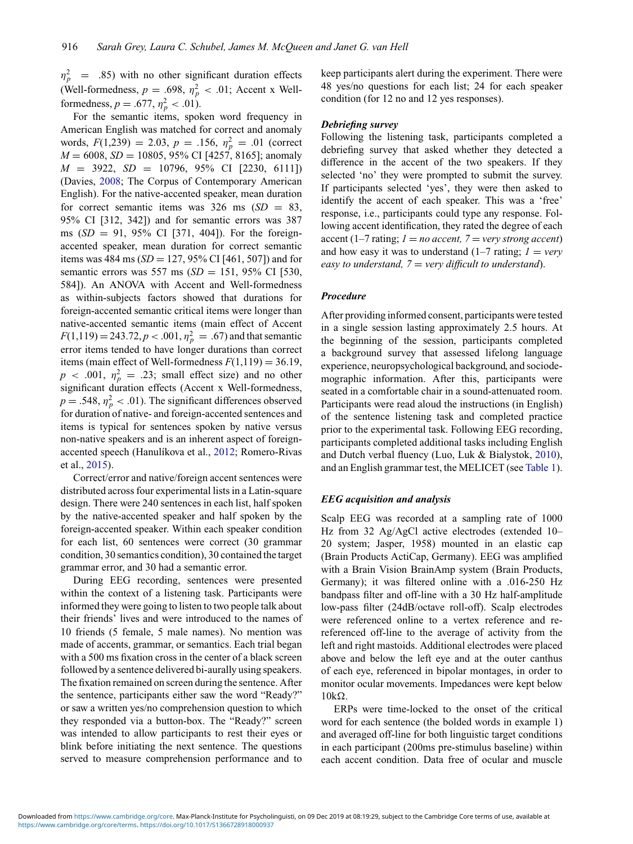$\eta_p^2$  = .85) with no other significant duration effects (Well-formedness,  $p = .698$ ,  $\eta_p^2 < .01$ ; Accent x Wellformedness,  $p = .677$ ,  $\eta_p^2 < .01$ ).

For the semantic items, spoken word frequency in American English was matched for correct and anomaly words,  $F(1,239) = 2.03$ ,  $p = .156$ ,  $\eta_p^2 = .01$  (correct  $M = 6008$ ,  $SD = 10805$ , 95% CI [4257, 8165]; anomaly *M* = 3922, *SD* = 10796, 95% CI [2230, 6111]) (Davies, 2008; The Corpus of Contemporary American English). For the native-accented speaker, mean duration for correct semantic items was  $326 \text{ ms } (SD = 83,$ 95% CI [312, 342]) and for semantic errors was 387 ms  $(SD = 91, 95\% \text{ CI}$  [371, 404]). For the foreignaccented speaker, mean duration for correct semantic items was 484 ms  $(SD = 127, 95\% \text{ CI}$  [461, 507]) and for semantic errors was 557 ms (*SD* = 151, 95% CI [530, 584]). An ANOVA with Accent and Well-formedness as within-subjects factors showed that durations for foreign-accented semantic critical items were longer than native-accented semantic items (main effect of Accent  $F(1,119) = 243.72, p < .001, \eta_p^2 = .67$  and that semantic error items tended to have longer durations than correct items (main effect of Well-formedness  $F(1,119) = 36.19$ ,  $p \lt 0.001$ ,  $\eta_p^2 = 0.23$ ; small effect size) and no other significant duration effects (Accent x Well-formedness,  $p = .548$ ,  $\eta_p^2 < .01$ ). The significant differences observed for duration of native- and foreign-accented sentences and items is typical for sentences spoken by native versus non-native speakers and is an inherent aspect of foreignaccented speech (Hanulíkova et al., 2012; Romero-Rivas et al., 2015).

Correct/error and native/foreign accent sentences were distributed across four experimental lists in a Latin-square design. There were 240 sentences in each list, half spoken by the native-accented speaker and half spoken by the foreign-accented speaker. Within each speaker condition for each list, 60 sentences were correct (30 grammar condition, 30 semantics condition), 30 contained the target grammar error, and 30 had a semantic error.

During EEG recording, sentences were presented within the context of a listening task. Participants were informed they were going to listen to two people talk about their friends' lives and were introduced to the names of 10 friends (5 female, 5 male names). No mention was made of accents, grammar, or semantics. Each trial began with a 500 ms fixation cross in the center of a black screen followed by a sentence delivered bi-aurally using speakers. The fixation remained on screen during the sentence. After the sentence, participants either saw the word "Ready?" or saw a written yes/no comprehension question to which they responded via a button-box. The "Ready?" screen was intended to allow participants to rest their eyes or blink before initiating the next sentence. The questions served to measure comprehension performance and to keep participants alert during the experiment. There were 48 yes/no questions for each list; 24 for each speaker condition (for 12 no and 12 yes responses).

## *Debriefing survey*

Following the listening task, participants completed a debriefing survey that asked whether they detected a difference in the accent of the two speakers. If they selected 'no' they were prompted to submit the survey. If participants selected 'yes', they were then asked to identify the accent of each speaker. This was a 'free' response, i.e., participants could type any response. Following accent identification, they rated the degree of each accent  $(1-7 \text{ rating}; 1 = no accent, 7 = very strong accent)$ and how easy it was to understand  $(1-7 \text{ rating}; 1 = \text{very})$ *easy to understand, 7* = *very difficult to understand*).

#### *Procedure*

After providing informed consent, participants were tested in a single session lasting approximately 2.5 hours. At the beginning of the session, participants completed a background survey that assessed lifelong language experience, neuropsychological background, and sociodemographic information. After this, participants were seated in a comfortable chair in a sound-attenuated room. Participants were read aloud the instructions (in English) of the sentence listening task and completed practice prior to the experimental task. Following EEG recording, participants completed additional tasks including English and Dutch verbal fluency (Luo, Luk & Bialystok, 2010), and an English grammar test, the MELICET (see Table 1).

#### *EEG acquisition and analysis*

Scalp EEG was recorded at a sampling rate of 1000 Hz from 32 Ag/AgCl active electrodes (extended 10– 20 system; Jasper, 1958) mounted in an elastic cap (Brain Products ActiCap, Germany). EEG was amplified with a Brain Vision BrainAmp system (Brain Products, Germany); it was filtered online with a .016-250 Hz bandpass filter and off-line with a 30 Hz half-amplitude low-pass filter (24dB/octave roll-off). Scalp electrodes were referenced online to a vertex reference and rereferenced off-line to the average of activity from the left and right mastoids. Additional electrodes were placed above and below the left eye and at the outer canthus of each eye, referenced in bipolar montages, in order to monitor ocular movements. Impedances were kept below  $10k\Omega$ .

ERPs were time-locked to the onset of the critical word for each sentence (the bolded words in example 1) and averaged off-line for both linguistic target conditions in each participant (200ms pre-stimulus baseline) within each accent condition. Data free of ocular and muscle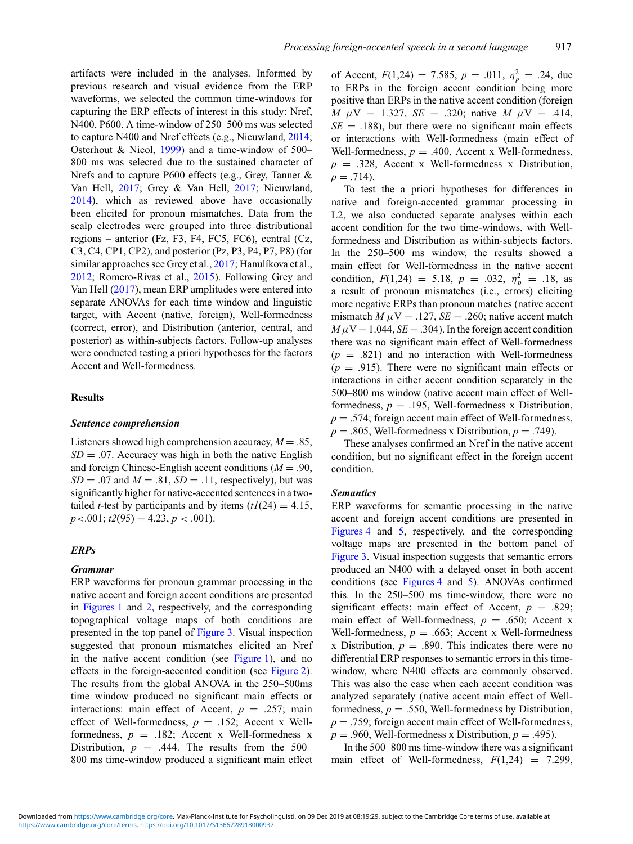artifacts were included in the analyses. Informed by previous research and visual evidence from the ERP waveforms, we selected the common time-windows for capturing the ERP effects of interest in this study: Nref, N400, P600. A time-window of 250–500 ms was selected to capture N400 and Nref effects (e.g., Nieuwland, 2014; Osterhout & Nicol, 1999) and a time-window of 500– 800 ms was selected due to the sustained character of Nrefs and to capture P600 effects (e.g., Grey, Tanner & Van Hell, 2017; Grey & Van Hell, 2017; Nieuwland, 2014), which as reviewed above have occasionally been elicited for pronoun mismatches. Data from the scalp electrodes were grouped into three distributional regions – anterior (Fz, F3, F4, FC5, FC6), central (Cz, C3, C4, CP1, CP2), and posterior (Pz, P3, P4, P7, P8) (for similar approaches see Grey et al., 2017; Hanulíkova et al., 2012; Romero-Rivas et al., 2015). Following Grey and Van Hell (2017), mean ERP amplitudes were entered into separate ANOVAs for each time window and linguistic target, with Accent (native, foreign), Well-formedness (correct, error), and Distribution (anterior, central, and posterior) as within-subjects factors. Follow-up analyses were conducted testing a priori hypotheses for the factors Accent and Well-formedness.

# **Results**

# *Sentence comprehension*

Listeners showed high comprehension accuracy,  $M = .85$ ,  $SD = .07$ . Accuracy was high in both the native English and foreign Chinese-English accent conditions (*M* = .90,  $SD = .07$  and  $M = .81$ ,  $SD = .11$ , respectively), but was significantly higher for native-accented sentences in a twotailed *t*-test by participants and by items  $(t/(24)) = 4.15$ ,  $p < .001$ ;  $t2(95) = 4.23$ ,  $p < .001$ ).

### *ERPs*

#### *Grammar*

ERP waveforms for pronoun grammar processing in the native accent and foreign accent conditions are presented in Figures 1 and 2, respectively, and the corresponding topographical voltage maps of both conditions are presented in the top panel of Figure 3. Visual inspection suggested that pronoun mismatches elicited an Nref in the native accent condition (see Figure 1), and no effects in the foreign-accented condition (see Figure 2). The results from the global ANOVA in the 250–500ms time window produced no significant main effects or interactions: main effect of Accent,  $p = .257$ ; main effect of Well-formedness,  $p = .152$ ; Accent x Wellformedness,  $p = .182$ ; Accent x Well-formedness x Distribution,  $p = .444$ . The results from the 500– 800 ms time-window produced a significant main effect

of Accent,  $F(1,24) = 7.585$ ,  $p = .011$ ,  $\eta_p^2 = .24$ , due to ERPs in the foreign accent condition being more positive than ERPs in the native accent condition (foreign *M*  $\mu$ V = 1.327, *SE* = .320; native *M*  $\mu$ V = .414,  $SE = .188$ ), but there were no significant main effects or interactions with Well-formedness (main effect of Well-formedness,  $p = .400$ . Accent x Well-formedness,  $p = .328$ , Accent x Well-formedness x Distribution,  $p = .714$ ).

To test the a priori hypotheses for differences in native and foreign-accented grammar processing in L2, we also conducted separate analyses within each accent condition for the two time-windows, with Wellformedness and Distribution as within-subjects factors. In the 250–500 ms window, the results showed a main effect for Well-formedness in the native accent condition,  $F(1,24) = 5.18$ ,  $p = .032$ ,  $\eta_p^2 = .18$ , as a result of pronoun mismatches (i.e., errors) eliciting more negative ERPs than pronoun matches (native accent mismatch  $M \mu V = .127$ ,  $SE = .260$ ; native accent match  $M \mu V = 1.044$ , *SE* = .304). In the foreign accent condition there was no significant main effect of Well-formedness  $(p = .821)$  and no interaction with Well-formedness  $(p = .915)$ . There were no significant main effects or interactions in either accent condition separately in the 500–800 ms window (native accent main effect of Wellformedness,  $p = .195$ , Well-formedness x Distribution,  $p = .574$ ; foreign accent main effect of Well-formedness,  $p = .805$ , Well-formedness x Distribution,  $p = .749$ ).

These analyses confirmed an Nref in the native accent condition, but no significant effect in the foreign accent condition.

#### *Semantics*

ERP waveforms for semantic processing in the native accent and foreign accent conditions are presented in Figures 4 and 5, respectively, and the corresponding voltage maps are presented in the bottom panel of Figure 3. Visual inspection suggests that semantic errors produced an N400 with a delayed onset in both accent conditions (see Figures 4 and 5). ANOVAs confirmed this. In the 250–500 ms time-window, there were no significant effects: main effect of Accent,  $p = .829$ ; main effect of Well-formedness,  $p = .650$ ; Accent x Well-formedness,  $p = .663$ ; Accent x Well-formedness x Distribution,  $p = .890$ . This indicates there were no differential ERP responses to semantic errors in this timewindow, where N400 effects are commonly observed. This was also the case when each accent condition was analyzed separately (native accent main effect of Wellformedness,  $p = .550$ , Well-formedness by Distribution,  $p = .759$ ; foreign accent main effect of Well-formedness,  $p = .960$ , Well-formedness x Distribution,  $p = .495$ ).

In the 500–800 ms time-window there was a significant main effect of Well-formedness,  $F(1,24) = 7.299$ ,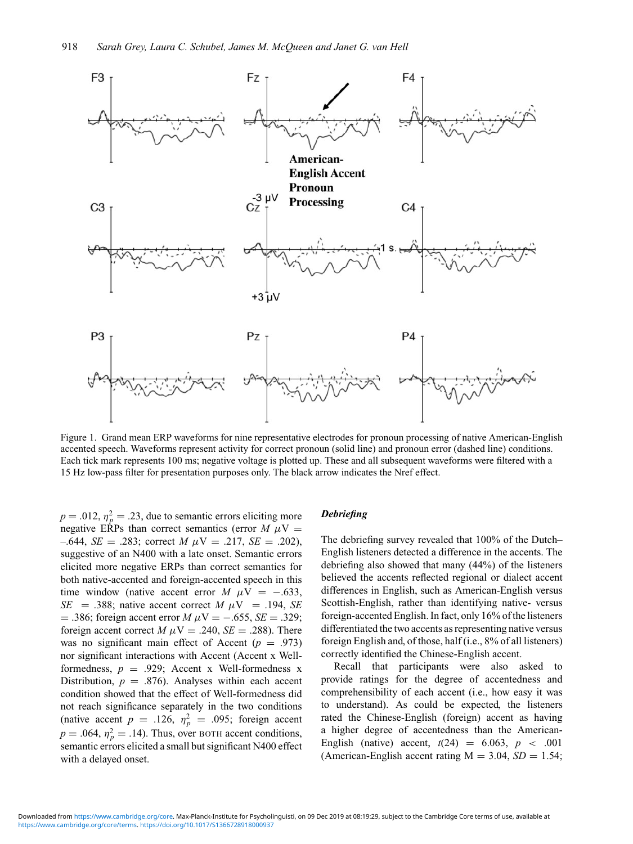

Figure 1. Grand mean ERP waveforms for nine representative electrodes for pronoun processing of native American-English accented speech. Waveforms represent activity for correct pronoun (solid line) and pronoun error (dashed line) conditions. Each tick mark represents 100 ms; negative voltage is plotted up. These and all subsequent waveforms were filtered with a 15 Hz low-pass filter for presentation purposes only. The black arrow indicates the Nref effect.

 $p = .012$ ,  $\eta_p^2 = .23$ , due to semantic errors eliciting more negative ERPs than correct semantics (error  $M \mu V =$  $-.644$ , *SE* = .283; correct *M*  $\mu$ V = .217, *SE* = .202), suggestive of an N400 with a late onset. Semantic errors elicited more negative ERPs than correct semantics for both native-accented and foreign-accented speech in this time window (native accent error  $M \mu V = -.633$ , *SE* = .388; native accent correct *M*  $\mu$ V = .194, *SE*  $= .386$ ; foreign accent error *M*  $\mu$ V =  $-.655$ , *SE* = .329; foreign accent correct  $M \mu V = .240$ ,  $SE = .288$ ). There was no significant main effect of Accent  $(p = .973)$ nor significant interactions with Accent (Accent x Wellformedness,  $p = .929$ ; Accent x Well-formedness x Distribution,  $p = .876$ . Analyses within each accent condition showed that the effect of Well-formedness did not reach significance separately in the two conditions (native accent  $p = .126$ ,  $\eta_p^2 = .095$ ; foreign accent  $p = .064$ ,  $\eta_p^2 = .14$ ). Thus, over BOTH accent conditions, semantic errors elicited a small but significant N400 effect with a delayed onset.

# *Debriefing*

The debriefing survey revealed that 100% of the Dutch– English listeners detected a difference in the accents. The debriefing also showed that many (44%) of the listeners believed the accents reflected regional or dialect accent differences in English, such as American-English versus Scottish-English, rather than identifying native- versus foreign-accented English. In fact, only 16% of the listeners differentiated the two accents as representing native versus foreign English and, of those, half (i.e., 8% of all listeners) correctly identified the Chinese-English accent.

Recall that participants were also asked to provide ratings for the degree of accentedness and comprehensibility of each accent (i.e., how easy it was to understand). As could be expected, the listeners rated the Chinese-English (foreign) accent as having a higher degree of accentedness than the American-English (native) accent,  $t(24) = 6.063$ ,  $p < .001$ (American-English accent rating  $M = 3.04$ ,  $SD = 1.54$ ;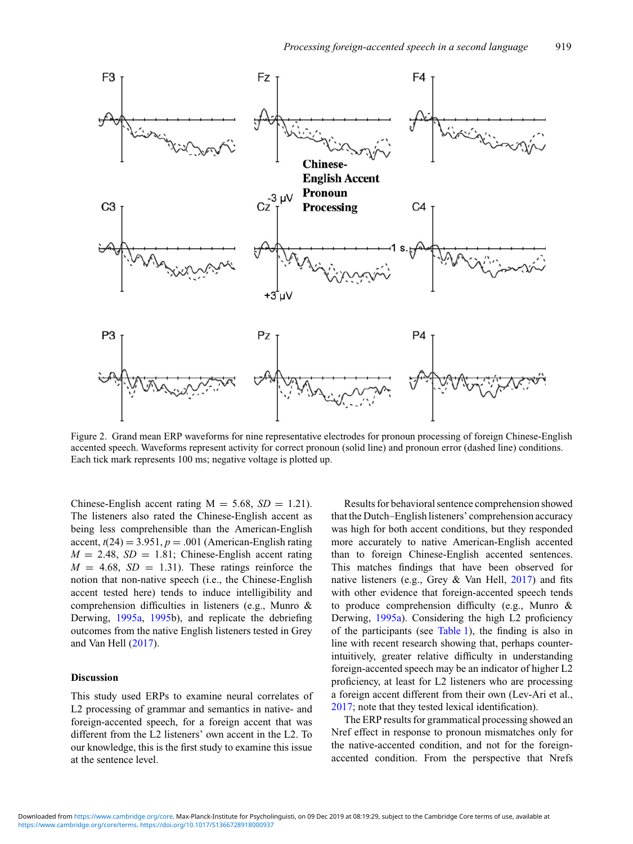

Figure 2. Grand mean ERP waveforms for nine representative electrodes for pronoun processing of foreign Chinese-English accented speech. Waveforms represent activity for correct pronoun (solid line) and pronoun error (dashed line) conditions. Each tick mark represents 100 ms; negative voltage is plotted up.

Chinese-English accent rating  $M = 5.68$ ,  $SD = 1.21$ . The listeners also rated the Chinese-English accent as being less comprehensible than the American-English accent,  $t(24) = 3.951$ ,  $p = .001$  (American-English rating  $M = 2.48$ ,  $SD = 1.81$ ; Chinese-English accent rating  $M = 4.68$ ,  $SD = 1.31$ . These ratings reinforce the notion that non-native speech (i.e., the Chinese-English accent tested here) tends to induce intelligibility and comprehension difficulties in listeners (e.g., Munro & Derwing, 1995a, 1995b), and replicate the debriefing outcomes from the native English listeners tested in Grey and Van Hell (2017).

#### **Discussion**

This study used ERPs to examine neural correlates of L2 processing of grammar and semantics in native- and foreign-accented speech, for a foreign accent that was different from the L2 listeners' own accent in the L2. To our knowledge, this is the first study to examine this issue at the sentence level.

Results for behavioral sentence comprehension showed that the Dutch–English listeners' comprehension accuracy was high for both accent conditions, but they responded more accurately to native American-English accented than to foreign Chinese-English accented sentences. This matches findings that have been observed for native listeners (e.g., Grey & Van Hell, 2017) and fits with other evidence that foreign-accented speech tends to produce comprehension difficulty (e.g., Munro & Derwing, 1995a). Considering the high L2 proficiency of the participants (see Table 1), the finding is also in line with recent research showing that, perhaps counterintuitively, greater relative difficulty in understanding foreign-accented speech may be an indicator of higher L2 proficiency, at least for L2 listeners who are processing a foreign accent different from their own (Lev-Ari et al., 2017; note that they tested lexical identification).

The ERP results for grammatical processing showed an Nref effect in response to pronoun mismatches only for the native-accented condition, and not for the foreignaccented condition. From the perspective that Nrefs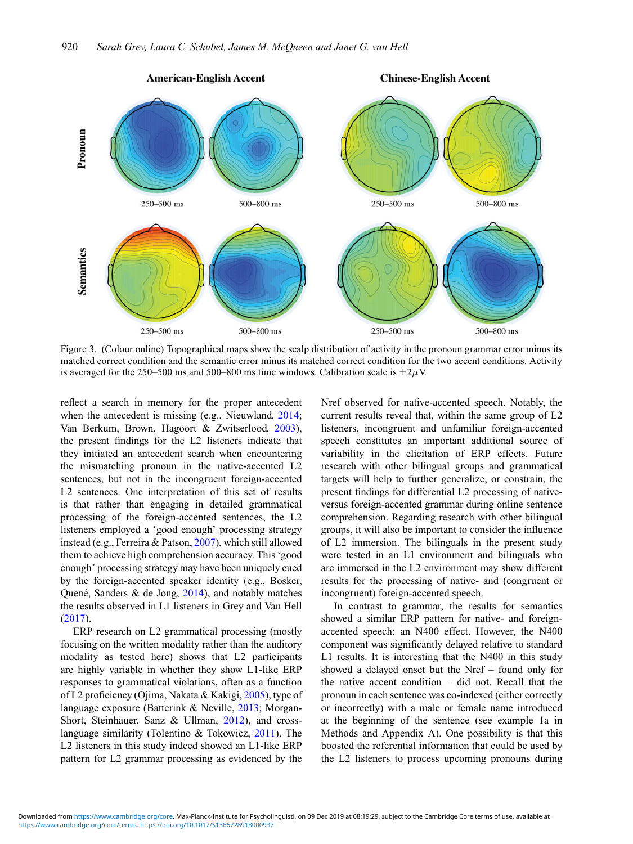

Figure 3. (Colour online) Topographical maps show the scalp distribution of activity in the pronoun grammar error minus its matched correct condition and the semantic error minus its matched correct condition for the two accent conditions. Activity is averaged for the 250–500 ms and 500–800 ms time windows. Calibration scale is  $\pm 2\mu$ V.

reflect a search in memory for the proper antecedent when the antecedent is missing (e.g., Nieuwland, 2014; Van Berkum, Brown, Hagoort & Zwitserlood, 2003), the present findings for the L2 listeners indicate that they initiated an antecedent search when encountering the mismatching pronoun in the native-accented L2 sentences, but not in the incongruent foreign-accented L2 sentences. One interpretation of this set of results is that rather than engaging in detailed grammatical processing of the foreign-accented sentences, the L2 listeners employed a 'good enough' processing strategy instead (e.g., Ferreira & Patson, 2007), which still allowed them to achieve high comprehension accuracy. This 'good enough' processing strategy may have been uniquely cued by the foreign-accented speaker identity (e.g., Bosker, Quené, Sanders & de Jong, 2014), and notably matches the results observed in L1 listeners in Grey and Van Hell  $(2017)$ .

ERP research on L2 grammatical processing (mostly focusing on the written modality rather than the auditory modality as tested here) shows that L2 participants are highly variable in whether they show L1-like ERP responses to grammatical violations, often as a function of L2 proficiency (Ojima, Nakata & Kakigi, 2005), type of language exposure (Batterink & Neville, 2013; Morgan-Short, Steinhauer, Sanz & Ullman, 2012), and crosslanguage similarity (Tolentino & Tokowicz, 2011). The L2 listeners in this study indeed showed an L1-like ERP pattern for L2 grammar processing as evidenced by the Nref observed for native-accented speech. Notably, the current results reveal that, within the same group of L2 listeners, incongruent and unfamiliar foreign-accented speech constitutes an important additional source of variability in the elicitation of ERP effects. Future research with other bilingual groups and grammatical targets will help to further generalize, or constrain, the present findings for differential L2 processing of nativeversus foreign-accented grammar during online sentence comprehension. Regarding research with other bilingual groups, it will also be important to consider the influence of L2 immersion. The bilinguals in the present study were tested in an L1 environment and bilinguals who are immersed in the L2 environment may show different results for the processing of native- and (congruent or incongruent) foreign-accented speech.

In contrast to grammar, the results for semantics showed a similar ERP pattern for native- and foreignaccented speech: an N400 effect. However, the N400 component was significantly delayed relative to standard L1 results. It is interesting that the N400 in this study showed a delayed onset but the Nref – found only for the native accent condition – did not. Recall that the pronoun in each sentence was co-indexed (either correctly or incorrectly) with a male or female name introduced at the beginning of the sentence (see example 1a in Methods and Appendix A). One possibility is that this boosted the referential information that could be used by the L2 listeners to process upcoming pronouns during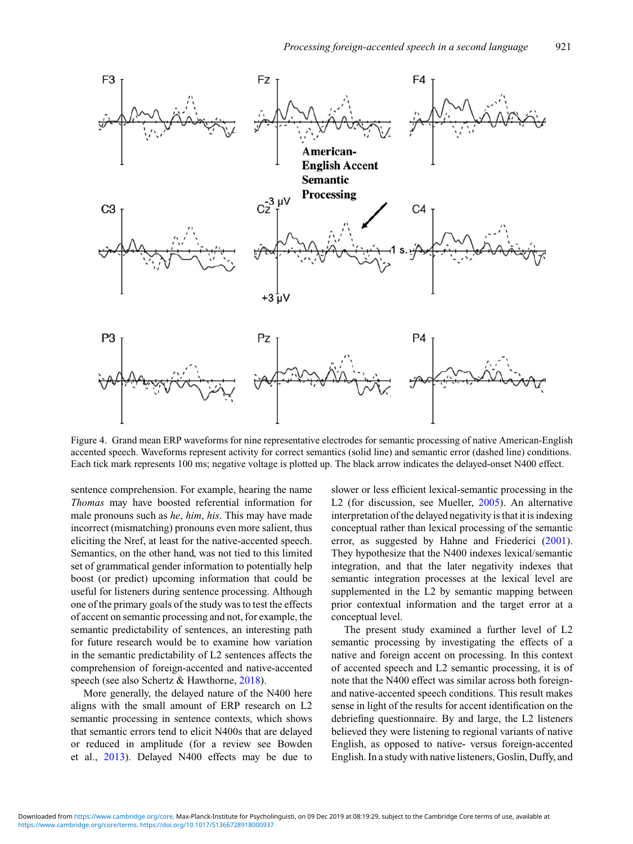

Figure 4. Grand mean ERP waveforms for nine representative electrodes for semantic processing of native American-English accented speech. Waveforms represent activity for correct semantics (solid line) and semantic error (dashed line) conditions. Each tick mark represents 100 ms; negative voltage is plotted up. The black arrow indicates the delayed-onset N400 effect.

sentence comprehension. For example, hearing the name *Thomas* may have boosted referential information for male pronouns such as *he*, *him*, *his*. This may have made incorrect (mismatching) pronouns even more salient, thus eliciting the Nref, at least for the native-accented speech. Semantics, on the other hand, was not tied to this limited set of grammatical gender information to potentially help boost (or predict) upcoming information that could be useful for listeners during sentence processing. Although one of the primary goals of the study was to test the effects of accent on semantic processing and not, for example, the semantic predictability of sentences, an interesting path for future research would be to examine how variation in the semantic predictability of L2 sentences affects the comprehension of foreign-accented and native-accented speech (see also Schertz & Hawthorne, 2018).

More generally, the delayed nature of the N400 here aligns with the small amount of ERP research on L2 semantic processing in sentence contexts, which shows that semantic errors tend to elicit N400s that are delayed or reduced in amplitude (for a review see Bowden et al., 2013). Delayed N400 effects may be due to slower or less efficient lexical-semantic processing in the L2 (for discussion, see Mueller, 2005). An alternative interpretation of the delayed negativity is that it is indexing conceptual rather than lexical processing of the semantic error, as suggested by Hahne and Friederici (2001). They hypothesize that the N400 indexes lexical/semantic integration, and that the later negativity indexes that semantic integration processes at the lexical level are supplemented in the L2 by semantic mapping between prior contextual information and the target error at a conceptual level.

The present study examined a further level of L2 semantic processing by investigating the effects of a native and foreign accent on processing. In this context of accented speech and L2 semantic processing, it is of note that the N400 effect was similar across both foreignand native-accented speech conditions. This result makes sense in light of the results for accent identification on the debriefing questionnaire. By and large, the L2 listeners believed they were listening to regional variants of native English, as opposed to native- versus foreign-accented English. In a study with native listeners, Goslin, Duffy, and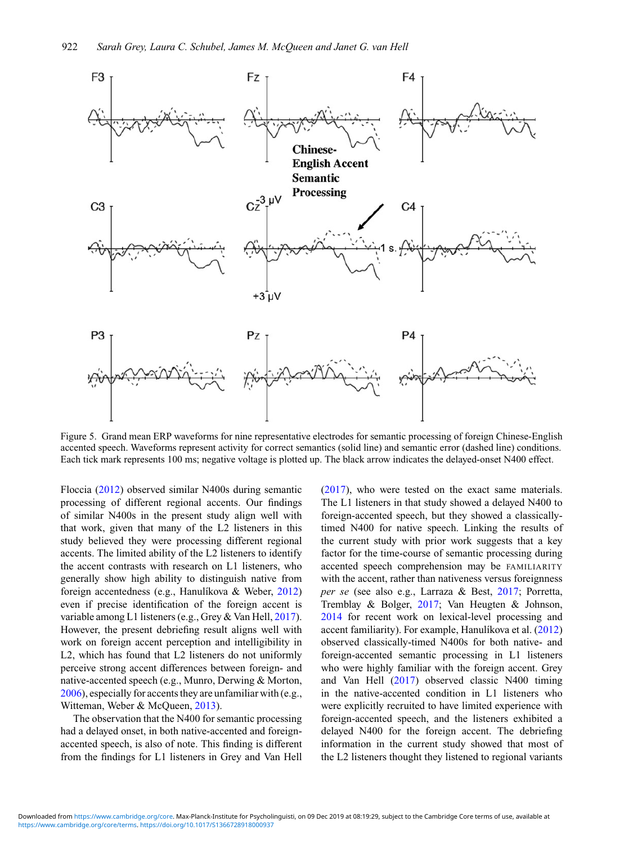

Figure 5. Grand mean ERP waveforms for nine representative electrodes for semantic processing of foreign Chinese-English accented speech. Waveforms represent activity for correct semantics (solid line) and semantic error (dashed line) conditions. Each tick mark represents 100 ms; negative voltage is plotted up. The black arrow indicates the delayed-onset N400 effect.

Floccia (2012) observed similar N400s during semantic processing of different regional accents. Our findings of similar N400s in the present study align well with that work, given that many of the L2 listeners in this study believed they were processing different regional accents. The limited ability of the L2 listeners to identify the accent contrasts with research on L1 listeners, who generally show high ability to distinguish native from foreign accentedness (e.g., Hanulíkova & Weber, 2012) even if precise identification of the foreign accent is variable among L1 listeners (e.g., Grey & Van Hell, 2017). However, the present debriefing result aligns well with work on foreign accent perception and intelligibility in L2, which has found that L2 listeners do not uniformly perceive strong accent differences between foreign- and native-accented speech (e.g., Munro, Derwing & Morton, 2006), especially for accents they are unfamiliar with (e.g., Witteman, Weber & McQueen, 2013).

The observation that the N400 for semantic processing had a delayed onset, in both native-accented and foreignaccented speech, is also of note. This finding is different from the findings for L1 listeners in Grey and Van Hell (2017), who were tested on the exact same materials. The L1 listeners in that study showed a delayed N400 to foreign-accented speech, but they showed a classicallytimed N400 for native speech. Linking the results of the current study with prior work suggests that a key factor for the time-course of semantic processing during accented speech comprehension may be FAMILIARITY with the accent, rather than nativeness versus foreignness *per se* (see also e.g., Larraza & Best, 2017; Porretta, Tremblay & Bolger, 2017; Van Heugten & Johnson, 2014 for recent work on lexical-level processing and accent familiarity). For example, Hanulíkova et al. (2012) observed classically-timed N400s for both native- and foreign-accented semantic processing in L1 listeners who were highly familiar with the foreign accent. Grey and Van Hell (2017) observed classic N400 timing in the native-accented condition in L1 listeners who were explicitly recruited to have limited experience with foreign-accented speech, and the listeners exhibited a delayed N400 for the foreign accent. The debriefing information in the current study showed that most of the L2 listeners thought they listened to regional variants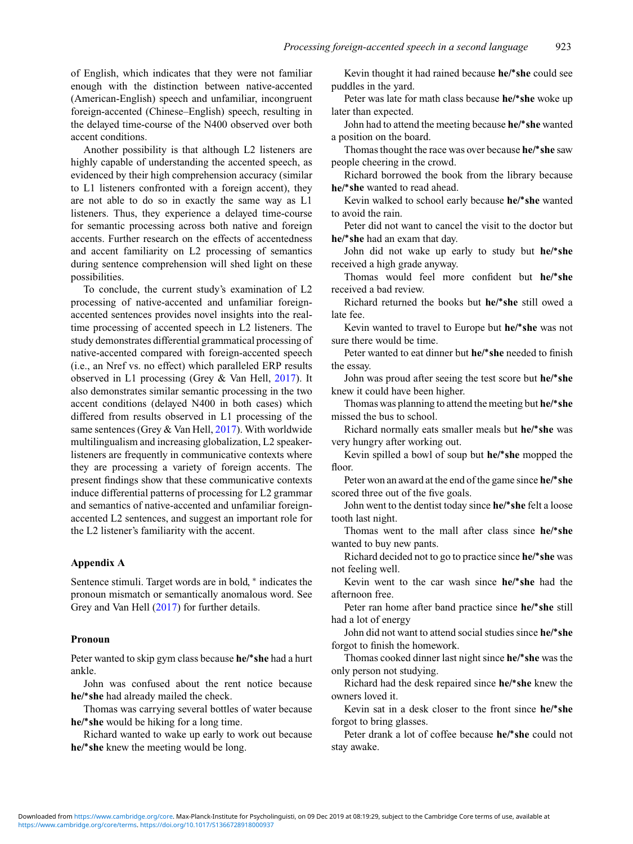of English, which indicates that they were not familiar enough with the distinction between native-accented (American-English) speech and unfamiliar, incongruent foreign-accented (Chinese–English) speech, resulting in the delayed time-course of the N400 observed over both accent conditions.

Another possibility is that although L2 listeners are highly capable of understanding the accented speech, as evidenced by their high comprehension accuracy (similar to L1 listeners confronted with a foreign accent), they are not able to do so in exactly the same way as L1 listeners. Thus, they experience a delayed time-course for semantic processing across both native and foreign accents. Further research on the effects of accentedness and accent familiarity on L2 processing of semantics during sentence comprehension will shed light on these possibilities.

To conclude, the current study's examination of L2 processing of native-accented and unfamiliar foreignaccented sentences provides novel insights into the realtime processing of accented speech in L2 listeners. The study demonstrates differential grammatical processing of native-accented compared with foreign-accented speech (i.e., an Nref vs. no effect) which paralleled ERP results observed in L1 processing (Grey & Van Hell, 2017). It also demonstrates similar semantic processing in the two accent conditions (delayed N400 in both cases) which differed from results observed in L1 processing of the same sentences (Grey & Van Hell, 2017). With worldwide multilingualism and increasing globalization, L2 speakerlisteners are frequently in communicative contexts where they are processing a variety of foreign accents. The present findings show that these communicative contexts induce differential patterns of processing for L2 grammar and semantics of native-accented and unfamiliar foreignaccented L2 sentences, and suggest an important role for the L2 listener's familiarity with the accent.

# **Appendix A**

Sentence stimuli. Target words are in bold, <sup>∗</sup> indicates the pronoun mismatch or semantically anomalous word. See Grey and Van Hell (2017) for further details.

#### **Pronoun**

Peter wanted to skip gym class because **he/∗she** had a hurt ankle.

John was confused about the rent notice because **he/∗she** had already mailed the check.

Thomas was carrying several bottles of water because **he/∗she** would be hiking for a long time.

Richard wanted to wake up early to work out because **he/∗she** knew the meeting would be long.

Kevin thought it had rained because **he/∗she** could see puddles in the yard.

Peter was late for math class because **he/∗she** woke up later than expected.

John had to attend the meeting because **he/∗she** wanted a position on the board.

Thomas thought the race was over because **he/∗she** saw people cheering in the crowd.

Richard borrowed the book from the library because **he/∗she** wanted to read ahead.

Kevin walked to school early because **he/∗she** wanted to avoid the rain.

Peter did not want to cancel the visit to the doctor but **he/∗she** had an exam that day.

John did not wake up early to study but **he/∗she** received a high grade anyway.

Thomas would feel more confident but **he/∗she** received a bad review.

Richard returned the books but **he/∗she** still owed a late fee.

Kevin wanted to travel to Europe but **he/∗she** was not sure there would be time.

Peter wanted to eat dinner but **he/∗she** needed to finish the essay.

John was proud after seeing the test score but **he/∗she** knew it could have been higher.

Thomas was planning to attend the meeting but **he/∗she** missed the bus to school.

Richard normally eats smaller meals but **he/∗she** was very hungry after working out.

Kevin spilled a bowl of soup but **he/∗she** mopped the floor.

Peter won an award at the end of the game since **he/∗she** scored three out of the five goals.

John went to the dentist today since **he/∗she** felt a loose tooth last night.

Thomas went to the mall after class since **he/∗she** wanted to buy new pants.

Richard decided not to go to practice since **he/∗she** was not feeling well.

Kevin went to the car wash since **he/∗she** had the afternoon free.

Peter ran home after band practice since **he/∗she** still had a lot of energy

John did not want to attend social studies since **he/∗she** forgot to finish the homework.

Thomas cooked dinner last night since **he/∗she** was the only person not studying.

Richard had the desk repaired since **he/∗she** knew the owners loved it.

Kevin sat in a desk closer to the front since **he/∗she** forgot to bring glasses.

Peter drank a lot of coffee because **he/∗she** could not stay awake.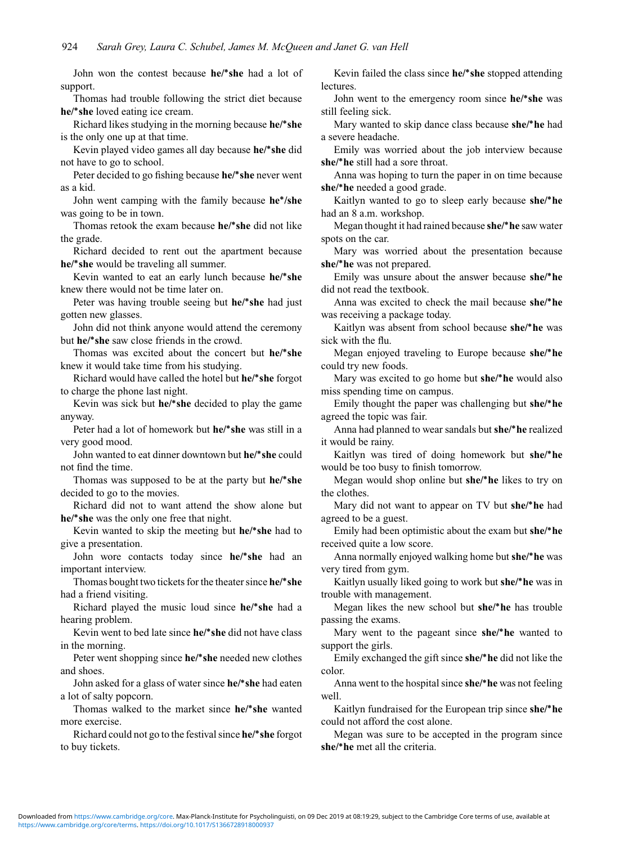John won the contest because **he/∗she** had a lot of support.

Thomas had trouble following the strict diet because **he/∗she** loved eating ice cream.

Richard likes studying in the morning because **he/∗she** is the only one up at that time.

Kevin played video games all day because **he/∗she** did not have to go to school.

Peter decided to go fishing because **he/∗she** never went as a kid.

John went camping with the family because **he∗/she** was going to be in town.

Thomas retook the exam because **he/∗she** did not like the grade.

Richard decided to rent out the apartment because **he/∗she** would be traveling all summer.

Kevin wanted to eat an early lunch because **he/∗she** knew there would not be time later on.

Peter was having trouble seeing but **he/∗she** had just gotten new glasses.

John did not think anyone would attend the ceremony but **he/∗she** saw close friends in the crowd.

Thomas was excited about the concert but **he/∗she** knew it would take time from his studying.

Richard would have called the hotel but **he/∗she** forgot to charge the phone last night.

Kevin was sick but **he/∗she** decided to play the game anyway.

Peter had a lot of homework but **he/∗she** was still in a very good mood.

John wanted to eat dinner downtown but **he/∗she** could not find the time.

Thomas was supposed to be at the party but **he/∗she** decided to go to the movies.

Richard did not to want attend the show alone but **he/∗she** was the only one free that night.

Kevin wanted to skip the meeting but **he/∗she** had to give a presentation.

John wore contacts today since **he/∗she** had an important interview.

Thomas bought two tickets for the theater since **he/∗she** had a friend visiting.

Richard played the music loud since **he/∗she** had a hearing problem.

Kevin went to bed late since **he/∗she** did not have class in the morning.

Peter went shopping since **he/∗she** needed new clothes and shoes.

John asked for a glass of water since **he/∗she** had eaten a lot of salty popcorn.

Thomas walked to the market since **he/∗she** wanted more exercise.

Richard could not go to the festival since **he/∗she** forgot to buy tickets.

Kevin failed the class since **he/∗she** stopped attending lectures.

John went to the emergency room since **he/∗she** was still feeling sick.

Mary wanted to skip dance class because **she/∗he** had a severe headache.

Emily was worried about the job interview because **she/∗he** still had a sore throat.

Anna was hoping to turn the paper in on time because **she/∗he** needed a good grade.

Kaitlyn wanted to go to sleep early because **she/∗he** had an 8 a.m. workshop.

Megan thought it had rained because **she/∗he** saw water spots on the car.

Mary was worried about the presentation because **she/∗he** was not prepared.

Emily was unsure about the answer because **she/∗he** did not read the textbook.

Anna was excited to check the mail because **she/∗he** was receiving a package today.

Kaitlyn was absent from school because **she/∗he** was sick with the flu.

Megan enjoyed traveling to Europe because **she/∗he** could try new foods.

Mary was excited to go home but **she/∗he** would also miss spending time on campus.

Emily thought the paper was challenging but **she/∗he** agreed the topic was fair.

Anna had planned to wear sandals but **she/∗he** realized it would be rainy.

Kaitlyn was tired of doing homework but **she/∗he** would be too busy to finish tomorrow.

Megan would shop online but **she/∗he** likes to try on the clothes.

Mary did not want to appear on TV but **she/∗he** had agreed to be a guest.

Emily had been optimistic about the exam but **she/∗he** received quite a low score.

Anna normally enjoyed walking home but **she/∗he** was very tired from gym.

Kaitlyn usually liked going to work but **she/∗he** was in trouble with management.

Megan likes the new school but **she/∗he** has trouble passing the exams.

Mary went to the pageant since **she/∗he** wanted to support the girls.

Emily exchanged the gift since **she/∗he** did not like the color.

Anna went to the hospital since **she/∗he** was not feeling well.

Kaitlyn fundraised for the European trip since **she/∗he** could not afford the cost alone.

Megan was sure to be accepted in the program since **she/∗he** met all the criteria.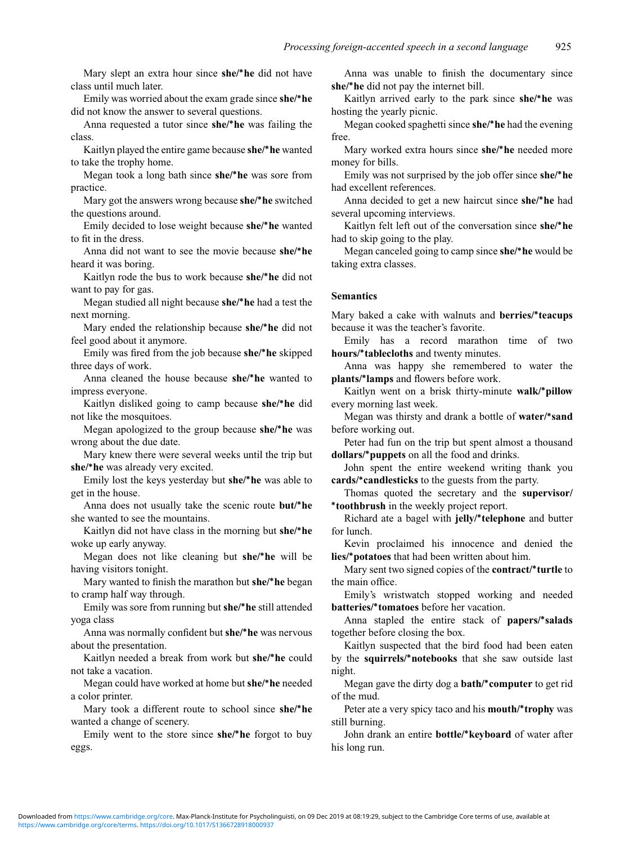Mary slept an extra hour since **she/∗he** did not have class until much later.

Emily was worried about the exam grade since **she/∗he** did not know the answer to several questions.

Anna requested a tutor since **she/∗he** was failing the class.

Kaitlyn played the entire game because **she/∗he** wanted to take the trophy home.

Megan took a long bath since **she/∗he** was sore from practice.

Mary got the answers wrong because **she/∗he** switched the questions around.

Emily decided to lose weight because **she/∗he** wanted to fit in the dress.

Anna did not want to see the movie because **she/∗he** heard it was boring.

Kaitlyn rode the bus to work because **she/∗he** did not want to pay for gas.

Megan studied all night because **she/∗he** had a test the next morning.

Mary ended the relationship because **she/∗he** did not feel good about it anymore.

Emily was fired from the job because **she/∗he** skipped three days of work.

Anna cleaned the house because **she/∗he** wanted to impress everyone.

Kaitlyn disliked going to camp because **she/∗he** did not like the mosquitoes.

Megan apologized to the group because **she/∗he** was wrong about the due date.

Mary knew there were several weeks until the trip but **she/∗he** was already very excited.

Emily lost the keys yesterday but **she/∗he** was able to get in the house.

Anna does not usually take the scenic route **but/∗he** she wanted to see the mountains.

Kaitlyn did not have class in the morning but **she/∗he** woke up early anyway.

Megan does not like cleaning but **she/∗he** will be having visitors tonight.

Mary wanted to finish the marathon but **she/∗he** began to cramp half way through.

Emily was sore from running but **she/∗he** still attended yoga class

Anna was normally confident but **she/∗he** was nervous about the presentation.

Kaitlyn needed a break from work but **she/∗he** could not take a vacation.

Megan could have worked at home but **she/∗he** needed a color printer.

Mary took a different route to school since **she/∗he** wanted a change of scenery.

Emily went to the store since **she/∗he** forgot to buy eggs.

Anna was unable to finish the documentary since **she/∗he** did not pay the internet bill.

Kaitlyn arrived early to the park since **she/∗he** was hosting the yearly picnic.

Megan cooked spaghetti since **she/∗he** had the evening free.

Mary worked extra hours since **she/∗he** needed more money for bills.

Emily was not surprised by the job offer since **she/∗he** had excellent references.

Anna decided to get a new haircut since **she/∗he** had several upcoming interviews.

Kaitlyn felt left out of the conversation since **she/∗he** had to skip going to the play.

Megan canceled going to camp since **she/∗he** would be taking extra classes.

### **Semantics**

Mary baked a cake with walnuts and **berries/∗teacups** because it was the teacher's favorite.

Emily has a record marathon time of two **hours/∗tablecloths** and twenty minutes.

Anna was happy she remembered to water the **plants/∗lamps** and flowers before work.

Kaitlyn went on a brisk thirty-minute **walk/∗pillow** every morning last week.

Megan was thirsty and drank a bottle of **water/∗sand** before working out.

Peter had fun on the trip but spent almost a thousand **dollars/∗puppets** on all the food and drinks.

John spent the entire weekend writing thank you **cards/∗candlesticks** to the guests from the party.

Thomas quoted the secretary and the **supervisor/ <sup>∗</sup>toothbrush** in the weekly project report.

Richard ate a bagel with **jelly/∗telephone** and butter for lunch.

Kevin proclaimed his innocence and denied the **lies/∗potatoes** that had been written about him.

Mary sent two signed copies of the **contract/∗turtle** to the main office.

Emily's wristwatch stopped working and needed **batteries/∗tomatoes** before her vacation.

Anna stapled the entire stack of **papers/∗salads** together before closing the box.

Kaitlyn suspected that the bird food had been eaten by the **squirrels/∗notebooks** that she saw outside last night.

Megan gave the dirty dog a **bath/∗computer** to get rid of the mud.

Peter ate a very spicy taco and his **mouth/∗trophy** was still burning.

John drank an entire **bottle/∗keyboard** of water after his long run.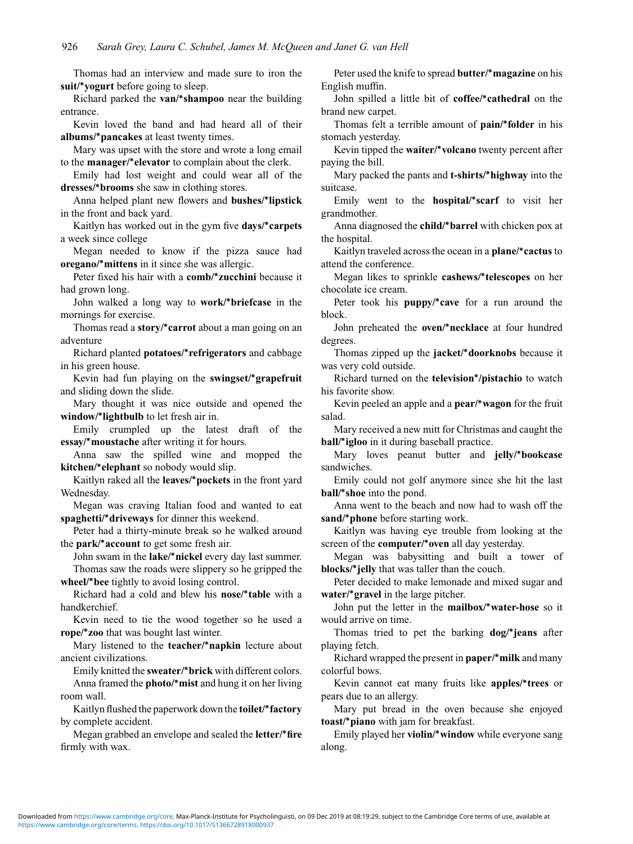Thomas had an interview and made sure to iron the **suit/∗yogurt** before going to sleep.

Richard parked the **van/∗shampoo** near the building entrance.

Kevin loved the band and had heard all of their **albums/∗pancakes** at least twenty times.

Mary was upset with the store and wrote a long email to the **manager/∗elevator** to complain about the clerk.

Emily had lost weight and could wear all of the **dresses/∗brooms** she saw in clothing stores.

Anna helped plant new flowers and **bushes/∗lipstick** in the front and back yard.

Kaitlyn has worked out in the gym five **days/∗carpets** a week since college

Megan needed to know if the pizza sauce had **oregano/∗mittens** in it since she was allergic.

Peter fixed his hair with a **comb/∗zucchini** because it had grown long.

John walked a long way to **work/∗briefcase** in the mornings for exercise.

Thomas read a **story/∗carrot** about a man going on an adventure

Richard planted **potatoes/∗refrigerators** and cabbage in his green house.

Kevin had fun playing on the **swingset/∗grapefruit** and sliding down the slide.

Mary thought it was nice outside and opened the **window/∗lightbulb** to let fresh air in.

Emily crumpled up the latest draft of the **essay/∗moustache** after writing it for hours.

Anna saw the spilled wine and mopped the **kitchen/∗elephant** so nobody would slip.

Kaitlyn raked all the **leaves/∗pockets** in the front yard Wednesday.

Megan was craving Italian food and wanted to eat **spaghetti/∗driveways** for dinner this weekend.

Peter had a thirty-minute break so he walked around the **park/∗account** to get some fresh air.

John swam in the **lake/∗nickel** every day last summer. Thomas saw the roads were slippery so he gripped the **wheel/∗bee** tightly to avoid losing control.

Richard had a cold and blew his **nose/∗table** with a handkerchief.

Kevin need to tie the wood together so he used a **rope/∗zoo** that was bought last winter.

Mary listened to the **teacher/∗napkin** lecture about ancient civilizations.

Emily knitted the **sweater/∗brick** with different colors. Anna framed the **photo/∗mist** and hung it on her living room wall.

Kaitlyn flushed the paperwork down the **toilet/∗factory** by complete accident.

Megan grabbed an envelope and sealed the **letter/∗fire** firmly with wax.

Peter used the knife to spread **butter/∗magazine** on his English muffin.

John spilled a little bit of **coffee/∗cathedral** on the brand new carpet.

Thomas felt a terrible amount of **pain/∗folder** in his stomach yesterday.

Kevin tipped the **waiter/∗volcano** twenty percent after paying the bill.

Mary packed the pants and **t-shirts/∗highway** into the suitcase.

Emily went to the **hospital/∗scarf** to visit her grandmother.

Anna diagnosed the **child/∗barrel** with chicken pox at the hospital.

Kaitlyn traveled across the ocean in a **plane/∗cactus** to attend the conference.

Megan likes to sprinkle **cashews/∗telescopes** on her chocolate ice cream.

Peter took his **puppy/∗cave** for a run around the block.

John preheated the **oven/∗necklace** at four hundred degrees.

Thomas zipped up the **jacket/∗doorknobs** because it was very cold outside.

Richard turned on the **television∗/pistachio** to watch his favorite show.

Kevin peeled an apple and a **pear/∗wagon** for the fruit salad.

Mary received a new mitt for Christmas and caught the **ball/∗igloo** in it during baseball practice.

Mary loves peanut butter and **jelly/∗bookcase** sandwiches.

Emily could not golf anymore since she hit the last **ball/∗shoe** into the pond.

Anna went to the beach and now had to wash off the **sand/∗phone** before starting work.

Kaitlyn was having eye trouble from looking at the screen of the **computer/∗oven** all day yesterday.

Megan was babysitting and built a tower of **blocks/∗jelly** that was taller than the couch.

Peter decided to make lemonade and mixed sugar and **water/∗gravel** in the large pitcher.

John put the letter in the **mailbox/∗water-hose** so it would arrive on time.

Thomas tried to pet the barking **dog/∗jeans** after playing fetch.

Richard wrapped the present in **paper/∗milk** and many colorful bows.

Kevin cannot eat many fruits like **apples/∗trees** or pears due to an allergy.

Mary put bread in the oven because she enjoyed **toast/∗piano** with jam for breakfast.

Emily played her **violin/∗window** while everyone sang along.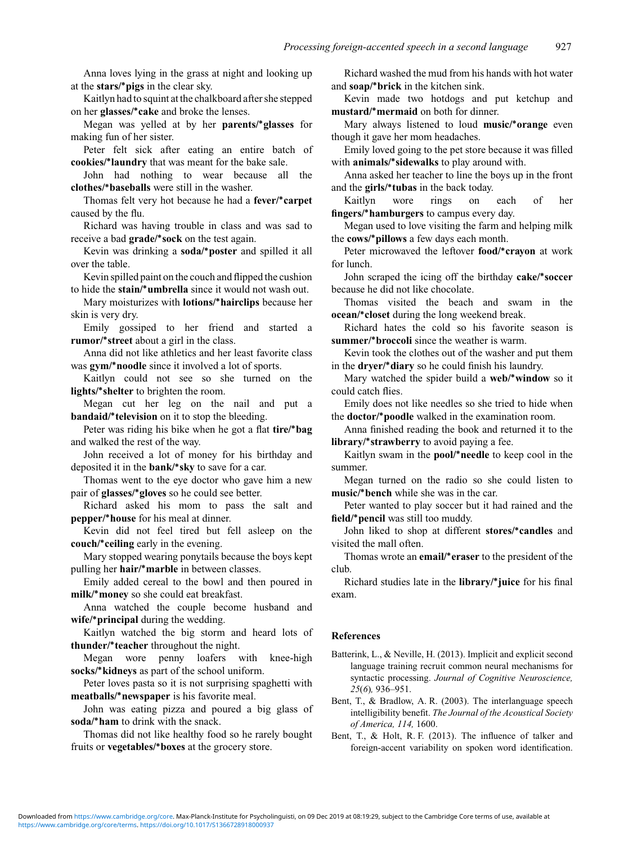Anna loves lying in the grass at night and looking up at the **stars/∗pigs** in the clear sky.

Kaitlyn had to squint at the chalkboard after she stepped on her **glasses/∗cake** and broke the lenses.

Megan was yelled at by her **parents/∗glasses** for making fun of her sister.

Peter felt sick after eating an entire batch of **cookies/∗laundry** that was meant for the bake sale.

John had nothing to wear because all the **clothes/∗baseballs** were still in the washer.

Thomas felt very hot because he had a **fever/∗carpet** caused by the flu.

Richard was having trouble in class and was sad to receive a bad **grade/∗sock** on the test again.

Kevin was drinking a **soda/∗poster** and spilled it all over the table.

Kevin spilled paint on the couch and flipped the cushion to hide the **stain/∗umbrella** since it would not wash out.

Mary moisturizes with **lotions/∗hairclips** because her skin is very dry.

Emily gossiped to her friend and started a **rumor/∗street** about a girl in the class.

Anna did not like athletics and her least favorite class was **gym/∗noodle** since it involved a lot of sports.

Kaitlyn could not see so she turned on the **lights/∗shelter** to brighten the room.

Megan cut her leg on the nail and put a **bandaid/∗television** on it to stop the bleeding.

Peter was riding his bike when he got a flat **tire/∗bag** and walked the rest of the way.

John received a lot of money for his birthday and deposited it in the **bank/∗sky** to save for a car.

Thomas went to the eye doctor who gave him a new pair of **glasses/∗gloves** so he could see better.

Richard asked his mom to pass the salt and **pepper/∗house** for his meal at dinner.

Kevin did not feel tired but fell asleep on the **couch/∗ceiling** early in the evening.

Mary stopped wearing ponytails because the boys kept pulling her **hair/∗marble** in between classes.

Emily added cereal to the bowl and then poured in **milk/∗money** so she could eat breakfast.

Anna watched the couple become husband and **wife/∗principal** during the wedding.

Kaitlyn watched the big storm and heard lots of **thunder/∗teacher** throughout the night.

Megan wore penny loafers with knee-high **socks/∗kidneys** as part of the school uniform.

Peter loves pasta so it is not surprising spaghetti with **meatballs/∗newspaper** is his favorite meal.

John was eating pizza and poured a big glass of **soda/∗ham** to drink with the snack.

Thomas did not like healthy food so he rarely bought fruits or **vegetables/∗boxes** at the grocery store.

Richard washed the mud from his hands with hot water and **soap/∗brick** in the kitchen sink.

Kevin made two hotdogs and put ketchup and **mustard/∗mermaid** on both for dinner.

Mary always listened to loud **music/∗orange** even though it gave her mom headaches.

Emily loved going to the pet store because it was filled with **animals/∗sidewalks** to play around with.

Anna asked her teacher to line the boys up in the front and the **girls/∗tubas** in the back today.

Kaitlyn wore rings on each of her **fingers/∗hamburgers** to campus every day.

Megan used to love visiting the farm and helping milk the **cows/∗pillows** a few days each month.

Peter microwaved the leftover **food/∗crayon** at work for lunch.

John scraped the icing off the birthday **cake/∗soccer** because he did not like chocolate.

Thomas visited the beach and swam in the **ocean/∗closet** during the long weekend break.

Richard hates the cold so his favorite season is **summer/∗broccoli** since the weather is warm.

Kevin took the clothes out of the washer and put them in the **dryer/∗diary** so he could finish his laundry.

Mary watched the spider build a **web/∗window** so it could catch flies.

Emily does not like needles so she tried to hide when the **doctor/∗poodle** walked in the examination room.

Anna finished reading the book and returned it to the **library/∗strawberry** to avoid paying a fee.

Kaitlyn swam in the **pool/∗needle** to keep cool in the summer.

Megan turned on the radio so she could listen to **music/∗bench** while she was in the car.

Peter wanted to play soccer but it had rained and the **field/∗pencil** was still too muddy.

John liked to shop at different **stores/∗candles** and visited the mall often.

Thomas wrote an **email/∗eraser** to the president of the club.

Richard studies late in the **library/∗juice** for his final exam.

#### **References**

Batterink, L., & Neville, H. (2013). Implicit and explicit second language training recruit common neural mechanisms for syntactic processing. *Journal of Cognitive Neuroscience, 25*(*6*)*,* 936–951.

Bent, T., & Bradlow, A. R. (2003). The interlanguage speech intelligibility benefit. *The Journal of the Acoustical Society of America, 114,* 1600.

Bent, T., & Holt, R. F. (2013). The influence of talker and foreign-accent variability on spoken word identification.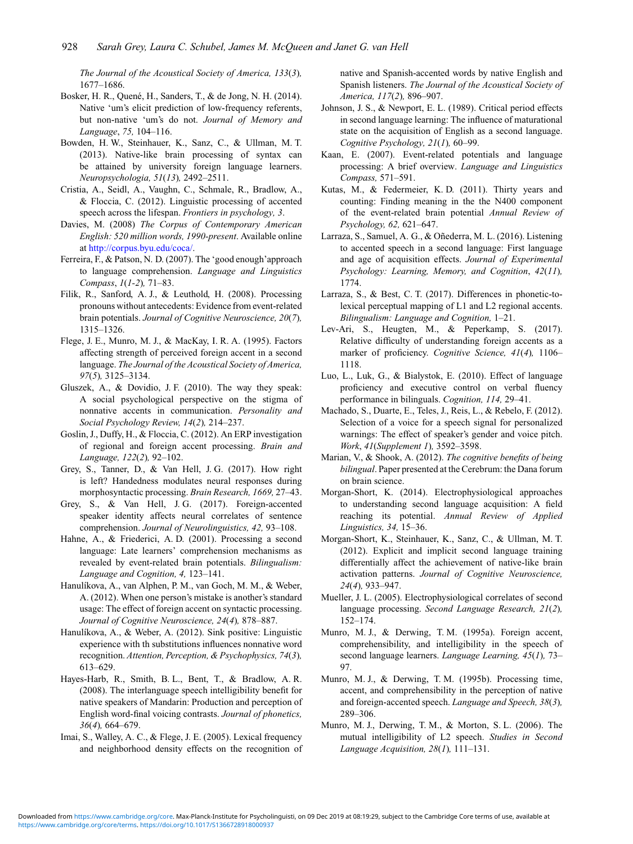*The Journal of the Acoustical Society of America, 133*(*3*)*,* 1677–1686.

- Bosker, H. R., Quené, H., Sanders, T., & de Jong, N. H. (2014). Native 'um's elicit prediction of low-frequency referents, but non-native 'um's do not. *Journal of Memory and Language*, *75,* 104–116.
- Bowden, H. W., Steinhauer, K., Sanz, C., & Ullman, M. T. (2013). Native-like brain processing of syntax can be attained by university foreign language learners. *Neuropsychologia, 51*(*13*)*,* 2492–2511.
- Cristia, A., Seidl, A., Vaughn, C., Schmale, R., Bradlow, A., & Floccia, C. (2012). Linguistic processing of accented speech across the lifespan. *Frontiers in psychology, 3*.
- Davies, M. (2008) *The Corpus of Contemporary American English: 520 million words, 1990-present*. Available online at [http://corpus.byu.edu/coca/.](http://corpus.byu.edu/coca/)
- Ferreira, F., & Patson, N. D. (2007). The 'good enough'approach to language comprehension. *Language and Linguistics Compass*, *1*(*1-2*)*,* 71–83.
- Filik, R., Sanford, A. J., & Leuthold, H. (2008). Processing pronouns without antecedents: Evidence from event-related brain potentials. *Journal of Cognitive Neuroscience, 20*(*7*)*,* 1315–1326.
- Flege, J. E., Munro, M. J., & MacKay, I. R. A. (1995). Factors affecting strength of perceived foreign accent in a second language. *The Journal of the Acoustical Society of America, 97*(*5*)*,* 3125–3134.
- Gluszek, A., & Dovidio, J. F. (2010). The way they speak: A social psychological perspective on the stigma of nonnative accents in communication. *Personality and Social Psychology Review, 14*(*2*)*,* 214–237.
- Goslin, J., Duffy, H., & Floccia, C. (2012). An ERP investigation of regional and foreign accent processing. *Brain and Language, 122*(*2*)*,* 92–102.
- Grey, S., Tanner, D., & Van Hell, J. G. (2017). How right is left? Handedness modulates neural responses during morphosyntactic processing. *Brain Research, 1669,* 27–43.
- Grey, S., & Van Hell, J. G. (2017). Foreign-accented speaker identity affects neural correlates of sentence comprehension. *Journal of Neurolinguistics, 42,* 93–108.
- Hahne, A., & Friederici, A. D. (2001). Processing a second language: Late learners' comprehension mechanisms as revealed by event-related brain potentials. *Bilingualism: Language and Cognition, 4,* 123–141.
- Hanulíkova, A., van Alphen, P. M., van Goch, M. M., & Weber, A. (2012). When one person's mistake is another's standard usage: The effect of foreign accent on syntactic processing. *Journal of Cognitive Neuroscience, 24*(*4*)*,* 878–887.
- Hanulíkova, A., & Weber, A. (2012). Sink positive: Linguistic experience with th substitutions influences nonnative word recognition. *Attention, Perception, & Psychophysics, 74*(*3*)*,* 613–629.
- Hayes-Harb, R., Smith, B. L., Bent, T., & Bradlow, A. R. (2008). The interlanguage speech intelligibility benefit for native speakers of Mandarin: Production and perception of English word-final voicing contrasts. *Journal of phonetics, 36*(*4*)*,* 664–679.
- Imai, S., Walley, A. C., & Flege, J. E. (2005). Lexical frequency and neighborhood density effects on the recognition of

native and Spanish-accented words by native English and Spanish listeners. *The Journal of the Acoustical Society of America, 117*(*2*)*,* 896–907.

- Johnson, J. S., & Newport, E. L. (1989). Critical period effects in second language learning: The influence of maturational state on the acquisition of English as a second language. *Cognitive Psychology, 21*(*1*)*,* 60–99.
- Kaan, E. (2007). Event-related potentials and language processing: A brief overview. *Language and Linguistics Compass,* 571–591.
- Kutas, M., & Federmeier, K. D. (2011). Thirty years and counting: Finding meaning in the the N400 component of the event-related brain potential *Annual Review of Psychology, 62,* 621–647.
- Larraza, S., Samuel, A. G., & Oñederra, M. L. (2016). Listening to accented speech in a second language: First language and age of acquisition effects. *Journal of Experimental Psychology: Learning, Memory, and Cognition*, *42*(*11*)*,* 1774.
- Larraza, S., & Best, C. T. (2017). Differences in phonetic-tolexical perceptual mapping of L1 and L2 regional accents. *Bilingualism: Language and Cognition,* 1–21.
- Lev-Ari, S., Heugten, M., & Peperkamp, S. (2017). Relative difficulty of understanding foreign accents as a marker of proficiency. *Cognitive Science, 41*(*4*)*,* 1106– 1118.
- Luo, L., Luk, G., & Bialystok, E. (2010). Effect of language proficiency and executive control on verbal fluency performance in bilinguals. *Cognition, 114,* 29–41.
- Machado, S., Duarte, E., Teles, J., Reis, L., & Rebelo, F. (2012). Selection of a voice for a speech signal for personalized warnings: The effect of speaker's gender and voice pitch. *Work*, *41*(*Supplement 1*)*,* 3592–3598.
- Marian, V., & Shook, A. (2012). *The cognitive benefits of being bilingual*. Paper presented at the Cerebrum: the Dana forum on brain science.
- Morgan-Short, K. (2014). Electrophysiological approaches to understanding second language acquisition: A field reaching its potential. *Annual Review of Applied Linguistics, 34,* 15–36.
- Morgan-Short, K., Steinhauer, K., Sanz, C., & Ullman, M. T. (2012). Explicit and implicit second language training differentially affect the achievement of native-like brain activation patterns. *Journal of Cognitive Neuroscience, 24*(*4*)*,* 933–947.
- Mueller, J. L. (2005). Electrophysiological correlates of second language processing. *Second Language Research, 21*(*2*)*,* 152–174.
- Munro, M. J., & Derwing, T. M. (1995a). Foreign accent, comprehensibility, and intelligibility in the speech of second language learners. *Language Learning, 45*(*1*)*,* 73– 97.
- Munro, M. J., & Derwing, T. M. (1995b). Processing time, accent, and comprehensibility in the perception of native and foreign-accented speech. *Language and Speech, 38*(*3*)*,* 289–306.
- Munro, M. J., Derwing, T. M., & Morton, S. L. (2006). The mutual intelligibility of L2 speech. *Studies in Second Language Acquisition, 28*(*1*)*,* 111–131.